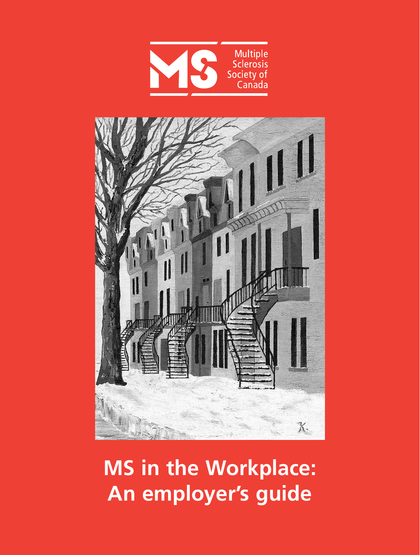



# **MS in the Workplace: An employer's guide**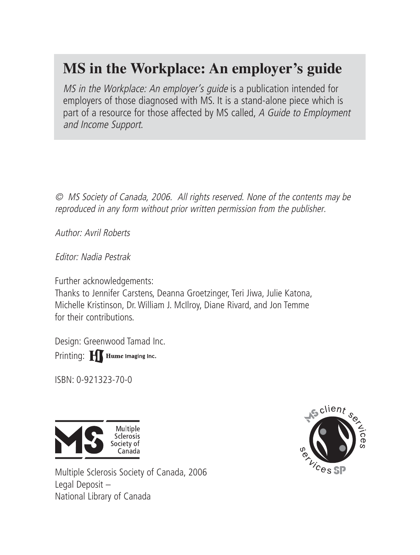# **MS in the Workplace: An employer's guide**

MS in the Workplace: An employer's quide is a publication intended for employers of those diagnosed with MS. It is a stand-alone piece which is part of a resource for those affected by MS called, A Guide to Employment and Income Support.

© MS Society of Canada, 2006. All rights reserved. None of the contents may be reproduced in any form without prior written permission from the publisher.

Author: Avril Roberts

Editor: Nadia Pestrak

Further acknowledgements:

Thanks to Jennifer Carstens, Deanna Groetzinger, Teri Jiwa, Julie Katona, Michelle Kristinson, Dr. William J. McIlroy, Diane Rivard, and Jon Temme for their contributions.

Design: Greenwood Tamad Inc. Printing: HI Hume Imaging Inc.

ISBN: 0-921323-70-0



Multiple Sclerosis Society of Canada, 2006 Legal Deposit – National Library of Canada

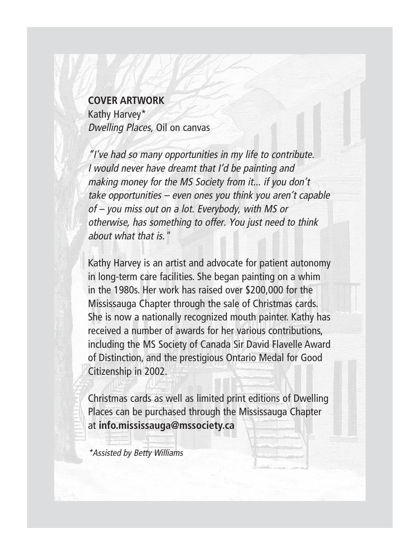#### **COVER ARTWORK**

Kathy Harvey\* Dwelling Places, Oil on canvas

"I've had so many opportunities in my life to contribute. I would never have dreamt that I'd be painting and making money for the MS Society from it... if you don't take opportunities – even ones you think you aren't capable of – you miss out on a lot. Everybody, with MS or otherwise, has something to offer. You just need to think about what that is."

Kathy Harvey is an artist and advocate for patient autonomy in long-term care facilities. She began painting on a whim in the 1980s. Her work has raised over \$200,000 for the Mississauga Chapter through the sale of Christmas cards. She is now a nationally recognized mouth painter. Kathy has received a number of awards for her various contributions, including the MS Society of Canada Sir David Flavelle Award of Distinction, and the prestigious Ontario Medal for Good Citizenship in 2002.

Christmas cards as well as limited print editions of Dwelling Places can be purchased through the Mississauga Chapter at **info.mississauga@mssociety.ca**

\*Assisted by Betty Williams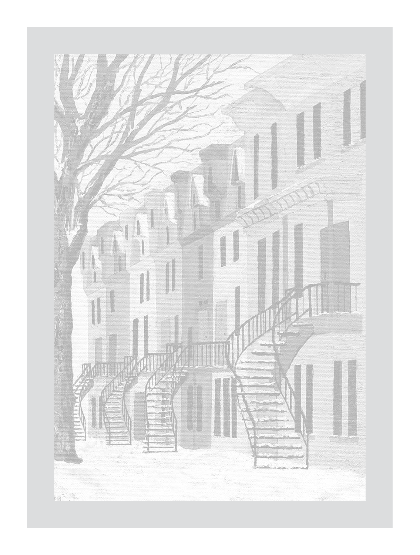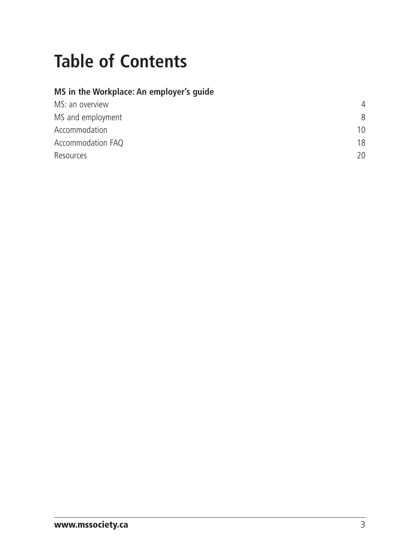# **Table of Contents**

#### **MS in the Workplace: An employer's guide**

| MS: an overview   | 4   |
|-------------------|-----|
| MS and employment | 8   |
| Accommodation     | 10  |
| Accommodation FAQ | 18  |
| Resources         | 20. |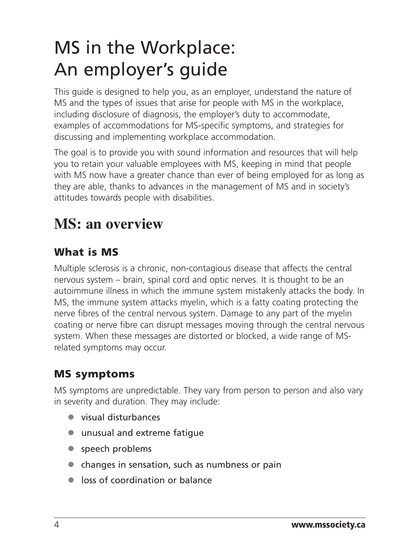# MS in the Workplace: An employer's guide

This guide is designed to help you, as an employer, understand the nature of MS and the types of issues that arise for people with MS in the workplace, including disclosure of diagnosis, the employer's duty to accommodate, examples of accommodations for MS-specific symptoms, and strategies for discussing and implementing workplace accommodation.

The goal is to provide you with sound information and resources that will help you to retain your valuable employees with MS, keeping in mind that people with MS now have a greater chance than ever of being employed for as long as they are able, thanks to advances in the management of MS and in society's attitudes towards people with disabilities.

## **MS: an overview**

### **What is MS**

Multiple sclerosis is a chronic, non-contagious disease that affects the central nervous system – brain, spinal cord and optic nerves. It is thought to be an autoimmune illness in which the immune system mistakenly attacks the body. In MS, the immune system attacks myelin, which is a fatty coating protecting the nerve fibres of the central nervous system. Damage to any part of the myelin coating or nerve fibre can disrupt messages moving through the central nervous system. When these messages are distorted or blocked, a wide range of MSrelated symptoms may occur.

### **MS symptoms**

MS symptoms are unpredictable. They vary from person to person and also vary in severity and duration. They may include:

- visual disturbances
- $\bullet$  unusual and extreme fatigue
- speech problems
- changes in sensation, such as numbness or pain
- $\bullet$  loss of coordination or balance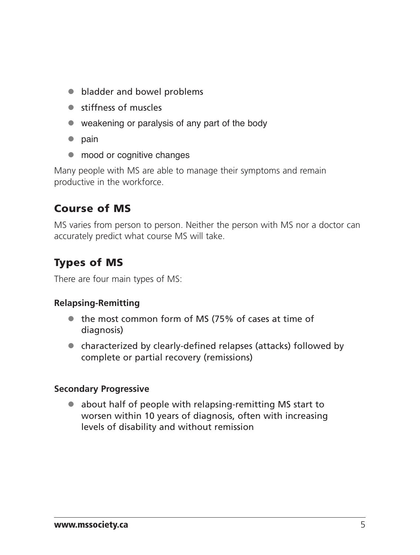- bladder and bowel problems
- **•** stiffness of muscles
- weakening or paralysis of any part of the body
- pain
- $\bullet$  mood or cognitive changes

Many people with MS are able to manage their symptoms and remain productive in the workforce.

#### **Course of MS**

MS varies from person to person. Neither the person with MS nor a doctor can accurately predict what course MS will take.

### **Types of MS**

There are four main types of MS:

#### **Relapsing-Remitting**

- the most common form of MS (75% of cases at time of diagnosis)
- characterized by clearly-defined relapses (attacks) followed by complete or partial recovery (remissions)

#### **Secondary Progressive**

• about half of people with relapsing-remitting MS start to worsen within 10 years of diagnosis, often with increasing levels of disability and without remission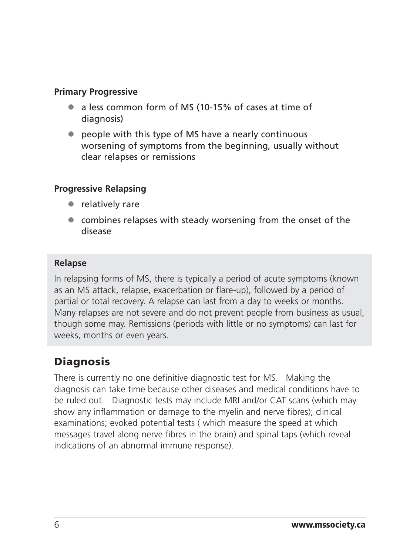#### **Primary Progressive**

- a less common form of MS (10-15% of cases at time of diagnosis)
- people with this type of MS have a nearly continuous worsening of symptoms from the beginning, usually without clear relapses or remissions

#### **Progressive Relapsing**

- **•** relatively rare
- **•** combines relapses with steady worsening from the onset of the disease

#### **Relapse**

In relapsing forms of MS, there is typically a period of acute symptoms (known as an MS attack, relapse, exacerbation or flare-up), followed by a period of partial or total recovery. A relapse can last from a day to weeks or months. Many relapses are not severe and do not prevent people from business as usual, though some may. Remissions (periods with little or no symptoms) can last for weeks, months or even years.

### **Diagnosis**

There is currently no one definitive diagnostic test for MS. Making the diagnosis can take time because other diseases and medical conditions have to be ruled out. Diagnostic tests may include MRI and/or CAT scans (which may show any inflammation or damage to the myelin and nerve fibres); clinical examinations; evoked potential tests ( which measure the speed at which messages travel along nerve fibres in the brain) and spinal taps (which reveal indications of an abnormal immune response).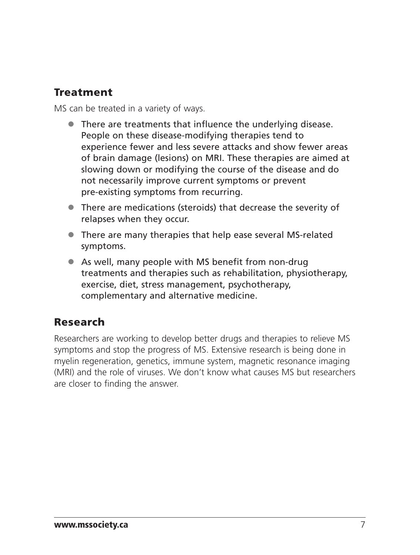### **Treatment**

MS can be treated in a variety of ways.

- There are treatments that influence the underlying disease. People on these disease-modifying therapies tend to experience fewer and less severe attacks and show fewer areas of brain damage (lesions) on MRI. These therapies are aimed at slowing down or modifying the course of the disease and do not necessarily improve current symptoms or prevent pre-existing symptoms from recurring.
- There are medications (steroids) that decrease the severity of relapses when they occur.
- There are many therapies that help ease several MS-related symptoms.
- As well, many people with MS benefit from non-drug treatments and therapies such as rehabilitation, physiotherapy, exercise, diet, stress management, psychotherapy, complementary and alternative medicine.

#### **Research**

Researchers are working to develop better drugs and therapies to relieve MS symptoms and stop the progress of MS. Extensive research is being done in myelin regeneration, genetics, immune system, magnetic resonance imaging (MRI) and the role of viruses. We don't know what causes MS but researchers are closer to finding the answer.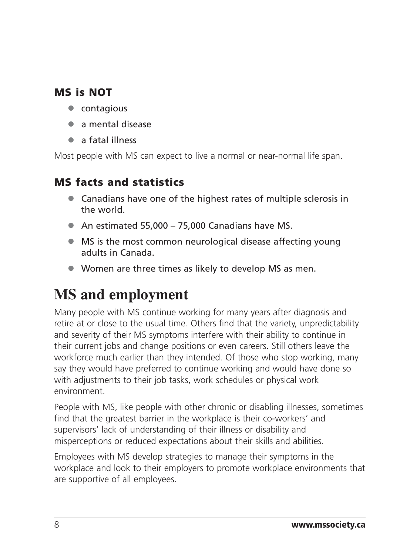### **MS is NOT**

- · contagious
- a mental disease
- a fatal illness

Most people with MS can expect to live a normal or near-normal life span.

### **MS facts and statistics**

- Canadians have one of the highest rates of multiple sclerosis in the world.
- An estimated 55,000 75,000 Canadians have MS.
- $\bullet$  MS is the most common neurological disease affecting young adults in Canada.
- Women are three times as likely to develop MS as men.

# **MS and employment**

Many people with MS continue working for many years after diagnosis and retire at or close to the usual time. Others find that the variety, unpredictability and severity of their MS symptoms interfere with their ability to continue in their current jobs and change positions or even careers. Still others leave the workforce much earlier than they intended. Of those who stop working, many say they would have preferred to continue working and would have done so with adjustments to their job tasks, work schedules or physical work environment.

People with MS, like people with other chronic or disabling illnesses, sometimes find that the greatest barrier in the workplace is their co-workers' and supervisors' lack of understanding of their illness or disability and misperceptions or reduced expectations about their skills and abilities.

Employees with MS develop strategies to manage their symptoms in the workplace and look to their employers to promote workplace environments that are supportive of all employees.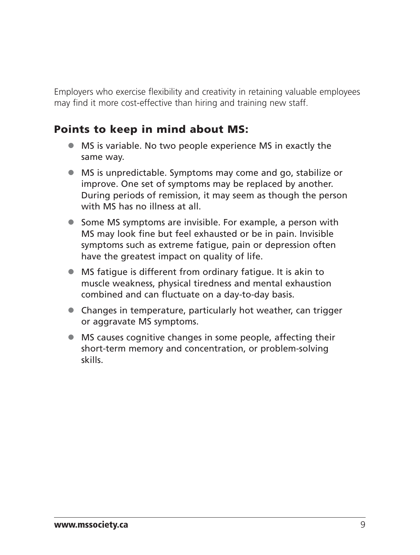Employers who exercise flexibility and creativity in retaining valuable employees may find it more cost-effective than hiring and training new staff.

### **Points to keep in mind about MS:**

- $\bullet$  MS is variable. No two people experience MS in exactly the same way.
- MS is unpredictable. Symptoms may come and go, stabilize or improve. One set of symptoms may be replaced by another. During periods of remission, it may seem as though the person with MS has no illness at all.
- Some MS symptoms are invisible. For example, a person with MS may look fine but feel exhausted or be in pain. Invisible symptoms such as extreme fatigue, pain or depression often have the greatest impact on quality of life.
- $\bullet$  MS fatigue is different from ordinary fatigue. It is akin to muscle weakness, physical tiredness and mental exhaustion combined and can fluctuate on a day-to-day basis.
- Changes in temperature, particularly hot weather, can trigger or aggravate MS symptoms.
- $\bullet$  MS causes cognitive changes in some people, affecting their short-term memory and concentration, or problem-solving skills.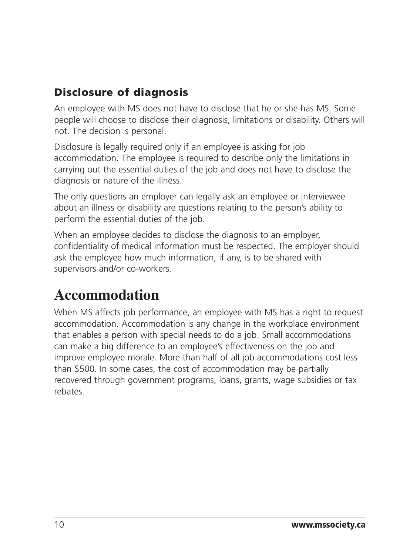### **Disclosure of diagnosis**

An employee with MS does not have to disclose that he or she has MS. Some people will choose to disclose their diagnosis, limitations or disability. Others will not. The decision is personal.

Disclosure is legally required only if an employee is asking for job accommodation. The employee is required to describe only the limitations in carrying out the essential duties of the job and does not have to disclose the diagnosis or nature of the illness.

The only questions an employer can legally ask an employee or interviewee about an illness or disability are questions relating to the person's ability to perform the essential duties of the job.

When an employee decides to disclose the diagnosis to an employer, confidentiality of medical information must be respected. The employer should ask the employee how much information, if any, is to be shared with supervisors and/or co-workers.

# **Accommodation**

When MS affects job performance, an employee with MS has a right to request accommodation. Accommodation is any change in the workplace environment that enables a person with special needs to do a job. Small accommodations can make a big difference to an employee's effectiveness on the job and improve employee morale. More than half of all job accommodations cost less than \$500. In some cases, the cost of accommodation may be partially recovered through government programs, loans, grants, wage subsidies or tax rebates.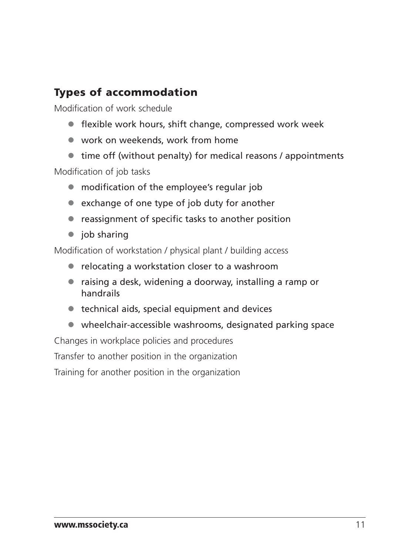### **Types of accommodation**

Modification of work schedule

- flexible work hours, shift change, compressed work week
- $\bullet$  work on weekends, work from home
- time off (without penalty) for medical reasons / appointments

Modification of job tasks

- modification of the employee's regular job
- exchange of one type of job duty for another
- **•** reassignment of specific tasks to another position
- job sharing

Modification of workstation / physical plant / building access

- relocating a workstation closer to a washroom
- raising a desk, widening a doorway, installing a ramp or handrails
- $\bullet$  technical aids, special equipment and devices
- wheelchair-accessible washrooms, designated parking space

Changes in workplace policies and procedures

Transfer to another position in the organization

Training for another position in the organization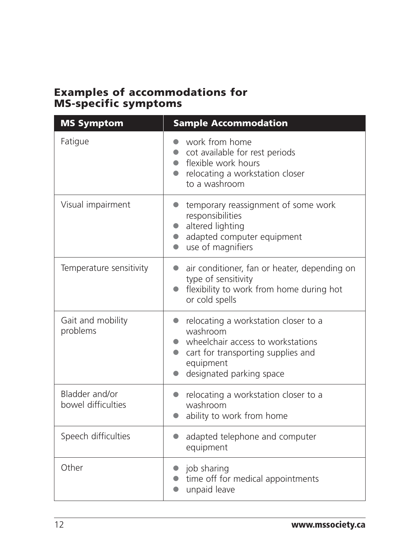#### **Examples of accommodations for MS-specific symptoms**

| <b>MS Symptom</b><br><b>Sample Accommodation</b> |                                                                                                                                                                                                             |
|--------------------------------------------------|-------------------------------------------------------------------------------------------------------------------------------------------------------------------------------------------------------------|
| Fatigue                                          | work from home<br>cot available for rest periods<br>flexible work hours<br>relocating a workstation closer<br>$\bullet$<br>to a washroom                                                                    |
| Visual impairment                                | temporary reassignment of some work<br>$\bullet$<br>responsibilities<br>altered lighting<br>$\bullet$<br>adapted computer equipment<br>$\bullet$<br>use of magnifiers<br>$\bullet$                          |
| Temperature sensitivity                          | air conditioner, fan or heater, depending on<br>$\bullet$<br>type of sensitivity<br>flexibility to work from home during hot<br>$\bullet$<br>or cold spells                                                 |
| Gait and mobility<br>problems                    | relocating a workstation closer to a<br>$\bullet$<br>washroom<br>wheelchair access to workstations<br>$\bullet$<br>cart for transporting supplies and<br>$\bullet$<br>equipment<br>designated parking space |
| Bladder and/or<br>bowel difficulties             | relocating a workstation closer to a<br>$\bullet$<br>washroom<br>ability to work from home                                                                                                                  |
| Speech difficulties                              | adapted telephone and computer<br>$\bullet$<br>equipment                                                                                                                                                    |
| Other                                            | job sharing<br>time off for medical appointments<br>unpaid leave<br>$\bullet$                                                                                                                               |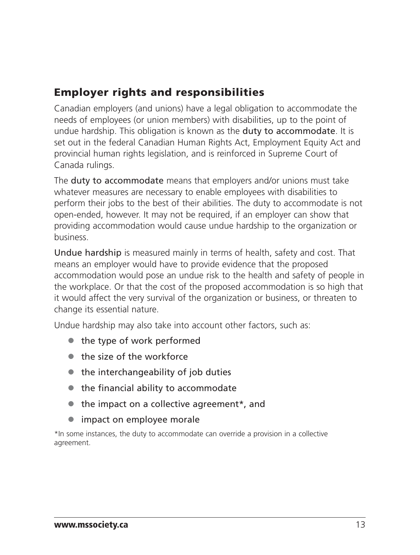### **Employer rights and responsibilities**

Canadian employers (and unions) have a legal obligation to accommodate the needs of employees (or union members) with disabilities, up to the point of undue hardship. This obligation is known as the duty to accommodate. It is set out in the federal Canadian Human Rights Act, Employment Equity Act and provincial human rights legislation, and is reinforced in Supreme Court of Canada rulings.

The duty to accommodate means that employers and/or unions must take whatever measures are necessary to enable employees with disabilities to perform their jobs to the best of their abilities. The duty to accommodate is not open-ended, however. It may not be required, if an employer can show that providing accommodation would cause undue hardship to the organization or business.

Undue hardship is measured mainly in terms of health, safety and cost. That means an employer would have to provide evidence that the proposed accommodation would pose an undue risk to the health and safety of people in the workplace. Or that the cost of the proposed accommodation is so high that it would affect the very survival of the organization or business, or threaten to change its essential nature.

Undue hardship may also take into account other factors, such as:

- the type of work performed
- the size of the workforce
- the interchangeability of job duties
- the financial ability to accommodate
- the impact on a collective agreement\*, and
- impact on employee morale

\*In some instances, the duty to accommodate can override a provision in a collective agreement.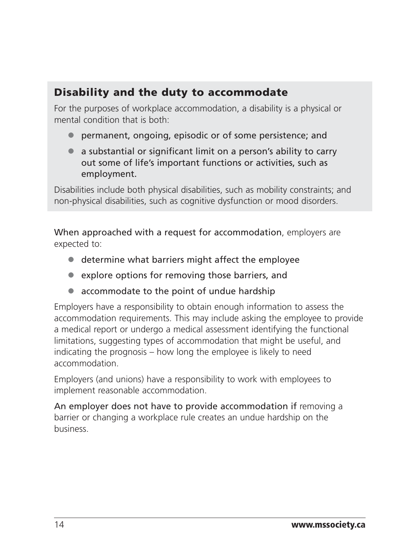### **Disability and the duty to accommodate**

For the purposes of workplace accommodation, a disability is a physical or mental condition that is both:

- permanent, ongoing, episodic or of some persistence; and
- a substantial or significant limit on a person's ability to carry out some of life's important functions or activities, such as employment.

Disabilities include both physical disabilities, such as mobility constraints; and non-physical disabilities, such as cognitive dysfunction or mood disorders.

When approached with a request for accommodation, employers are expected to:

- determine what barriers might affect the employee
- explore options for removing those barriers, and
- accommodate to the point of undue hardship

Employers have a responsibility to obtain enough information to assess the accommodation requirements. This may include asking the employee to provide a medical report or undergo a medical assessment identifying the functional limitations, suggesting types of accommodation that might be useful, and indicating the prognosis – how long the employee is likely to need accommodation.

Employers (and unions) have a responsibility to work with employees to implement reasonable accommodation.

An employer does not have to provide accommodation if removing a barrier or changing a workplace rule creates an undue hardship on the business.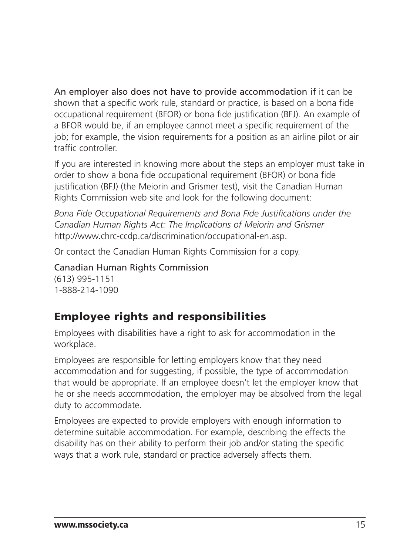An employer also does not have to provide accommodation if it can be shown that a specific work rule, standard or practice, is based on a bona fide occupational requirement (BFOR) or bona fide justification (BFJ). An example of a BFOR would be, if an employee cannot meet a specific requirement of the job; for example, the vision requirements for a position as an airline pilot or air traffic controller.

If you are interested in knowing more about the steps an employer must take in order to show a bona fide occupational requirement (BFOR) or bona fide justification (BFJ) (the Meiorin and Grismer test), visit the Canadian Human Rights Commission web site and look for the following document:

*Bona Fide Occupational Requirements and Bona Fide Justifications under the Canadian Human Rights Act: The Implications of Meiorin and Grismer* http://www.chrc-ccdp.ca/discrimination/occupational-en.asp.

Or contact the Canadian Human Rights Commission for a copy.

Canadian Human Rights Commission (613) 995-1151 1-888-214-1090

### **Employee rights and responsibilities**

Employees with disabilities have a right to ask for accommodation in the workplace.

Employees are responsible for letting employers know that they need accommodation and for suggesting, if possible, the type of accommodation that would be appropriate. If an employee doesn't let the employer know that he or she needs accommodation, the employer may be absolved from the legal duty to accommodate.

Employees are expected to provide employers with enough information to determine suitable accommodation. For example, describing the effects the disability has on their ability to perform their job and/or stating the specific ways that a work rule, standard or practice adversely affects them.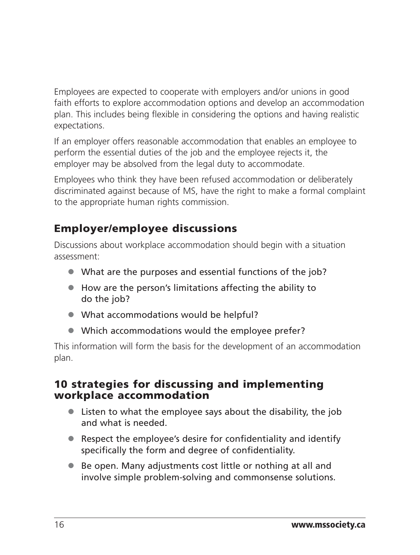Employees are expected to cooperate with employers and/or unions in good faith efforts to explore accommodation options and develop an accommodation plan. This includes being flexible in considering the options and having realistic expectations.

If an employer offers reasonable accommodation that enables an employee to perform the essential duties of the job and the employee rejects it, the employer may be absolved from the legal duty to accommodate.

Employees who think they have been refused accommodation or deliberately discriminated against because of MS, have the right to make a formal complaint to the appropriate human rights commission.

### **Employer/employee discussions**

Discussions about workplace accommodation should begin with a situation assessment:

- $\bullet$  What are the purposes and essential functions of the job?
- How are the person's limitations affecting the ability to do the job?
- What accommodations would be helpful?
- $\bullet$  Which accommodations would the employee prefer?

This information will form the basis for the development of an accommodation plan.

#### **10 strategies for discussing and implementing workplace accommodation**

- Listen to what the employee says about the disability, the job and what is needed.
- Respect the employee's desire for confidentiality and identify specifically the form and degree of confidentiality.
- Be open. Many adjustments cost little or nothing at all and involve simple problem-solving and commonsense solutions.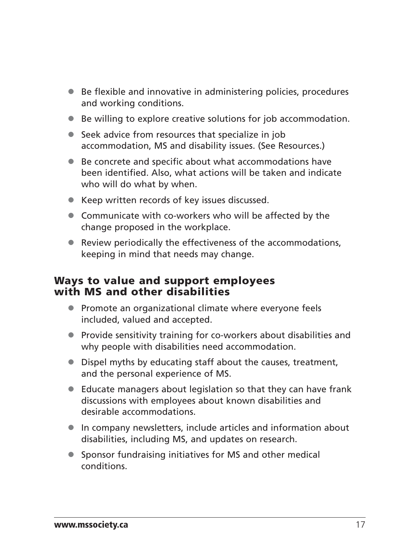- Be flexible and innovative in administering policies, procedures and working conditions.
- Be willing to explore creative solutions for job accommodation.
- Seek advice from resources that specialize in job accommodation, MS and disability issues. (See Resources.)
- Be concrete and specific about what accommodations have been identified. Also, what actions will be taken and indicate who will do what by when.
- Keep written records of key issues discussed.
- **•** Communicate with co-workers who will be affected by the change proposed in the workplace.
- Review periodically the effectiveness of the accommodations, keeping in mind that needs may change.

#### **Ways to value and support employees with MS and other disabilities**

- Promote an organizational climate where everyone feels included, valued and accepted.
- Provide sensitivity training for co-workers about disabilities and why people with disabilities need accommodation.
- Dispel myths by educating staff about the causes, treatment, and the personal experience of MS.
- Educate managers about legislation so that they can have frank discussions with employees about known disabilities and desirable accommodations.
- In company newsletters, include articles and information about disabilities, including MS, and updates on research.
- Sponsor fundraising initiatives for MS and other medical conditions.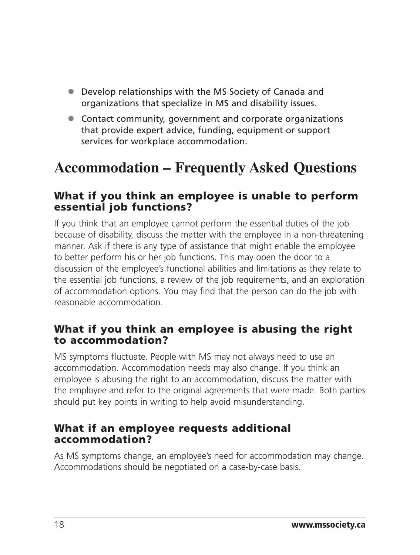- Develop relationships with the MS Society of Canada and organizations that specialize in MS and disability issues.
- **Contact community, government and corporate organizations** that provide expert advice, funding, equipment or support services for workplace accommodation.

## **Accommodation – Frequently Asked Questions**

#### **What if you think an employee is unable to perform essential job functions?**

If you think that an employee cannot perform the essential duties of the job because of disability, discuss the matter with the employee in a non-threatening manner. Ask if there is any type of assistance that might enable the employee to better perform his or her job functions. This may open the door to a discussion of the employee's functional abilities and limitations as they relate to the essential job functions, a review of the job requirements, and an exploration of accommodation options. You may find that the person can do the job with reasonable accommodation.

#### **What if you think an employee is abusing the right to accommodation?**

MS symptoms fluctuate. People with MS may not always need to use an accommodation. Accommodation needs may also change. If you think an employee is abusing the right to an accommodation, discuss the matter with the employee and refer to the original agreements that were made. Both parties should put key points in writing to help avoid misunderstanding.

#### **What if an employee requests additional accommodation?**

As MS symptoms change, an employee's need for accommodation may change. Accommodations should be negotiated on a case-by-case basis.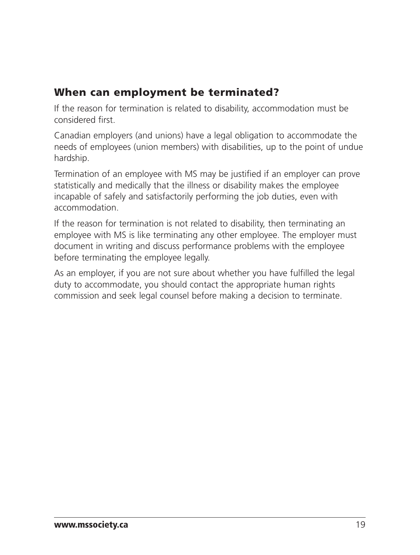### **When can employment be terminated?**

If the reason for termination is related to disability, accommodation must be considered first.

Canadian employers (and unions) have a legal obligation to accommodate the needs of employees (union members) with disabilities, up to the point of undue hardship.

Termination of an employee with MS may be justified if an employer can prove statistically and medically that the illness or disability makes the employee incapable of safely and satisfactorily performing the job duties, even with accommodation.

If the reason for termination is not related to disability, then terminating an employee with MS is like terminating any other employee. The employer must document in writing and discuss performance problems with the employee before terminating the employee legally.

As an employer, if you are not sure about whether you have fulfilled the legal duty to accommodate, you should contact the appropriate human rights commission and seek legal counsel before making a decision to terminate.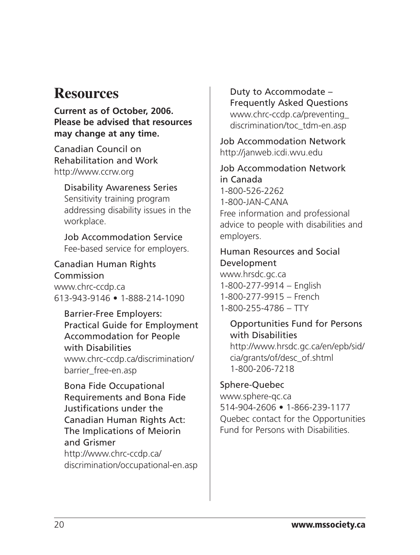### **Resources**

**Current as of October, 2006. Please be advised that resources may change at any time.**

Canadian Council on Rehabilitation and Work http://www.ccrw.org

Disability Awareness Series Sensitivity training program addressing disability issues in the workplace.

Job Accommodation Service Fee-based service for employers.

Canadian Human Rights Commission www.chrc-ccdp.ca 613-943-9146 • 1-888-214-1090

Barrier-Free Employers: Practical Guide for Employment Accommodation for People with Disabilities www.chrc-ccdp.ca/discrimination/ barrier\_free-en.asp

Bona Fide Occupational Requirements and Bona Fide Justifications under the Canadian Human Rights Act: The Implications of Meiorin and Grismer http://www.chrc-ccdp.ca/ discrimination/occupational-en.asp Duty to Accommodate – Frequently Asked Questions www.chrc-ccdp.ca/preventing\_ discrimination/toc\_tdm-en.asp

Job Accommodation Network http://janweb.icdi.wvu.edu

Job Accommodation Network in Canada 1-800-526-2262 1-800-JAN-CANA Free information and professional advice to people with disabilities and employers.

Human Resources and Social Development www.hrsdc.gc.ca 1-800-277-9914 – English 1-800-277-9915 – French 1-800-255-4786 – TTY

Opportunities Fund for Persons with Disabilities http://www.hrsdc.gc.ca/en/epb/sid/ cia/grants/of/desc\_of.shtml 1-800-206-7218

#### Sphere-Quebec

www.sphere-qc.ca 514-904-2606 • 1-866-239-1177 Quebec contact for the Opportunities Fund for Persons with Disabilities.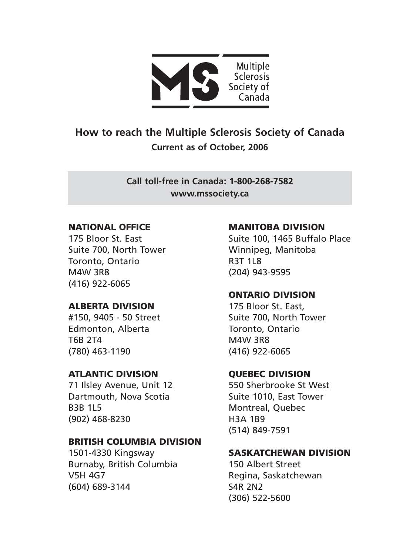

### **How to reach the Multiple Sclerosis Society of Canada Current as of October, 2006**

**Call toll-free in Canada: 1-800-268-7582 www.mssociety.ca**

#### **NATIONAL OFFICE**

175 Bloor St. East Suite 700, North Tower Toronto, Ontario M4W 3R8 (416) 922-6065

#### **ALBERTA DIVISION**

#150, 9405 - 50 Street Edmonton, Alberta T6B 2T4 (780) 463-1190

#### **ATLANTIC DIVISION**

71 Ilsley Avenue, Unit 12 Dartmouth, Nova Scotia B3B 1L5 (902) 468-8230

#### **BRITISH COLUMBIA DIVISION**

1501-4330 Kingsway Burnaby, British Columbia V5H 4G7 (604) 689-3144

#### **MANITOBA DIVISION**

Suite 100, 1465 Buffalo Place Winnipeg, Manitoba R3T 1L8 (204) 943-9595

#### **ONTARIO DIVISION**

175 Bloor St. East, Suite 700, North Tower Toronto, Ontario M4W 3R8 (416) 922-6065

#### **QUEBEC DIVISION**

550 Sherbrooke St West Suite 1010, East Tower Montreal, Quebec H3A 1B9 (514) 849-7591

#### **SASKATCHEWAN DIVISION**

150 Albert Street Regina, Saskatchewan S4R 2N2 (306) 522-5600